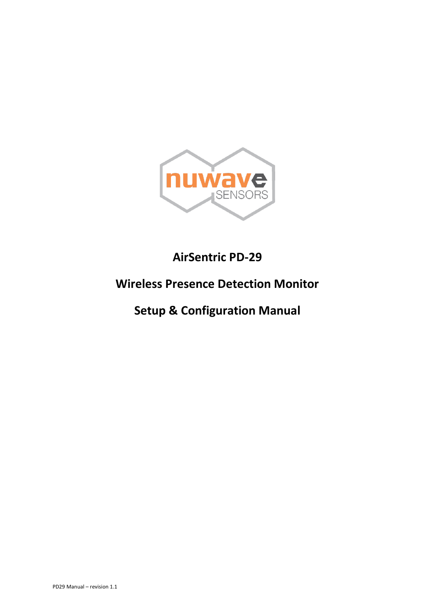

# **AirSentric PD-29**

## **Wireless Presence Detection Monitor**

# **Setup & Configuration Manual**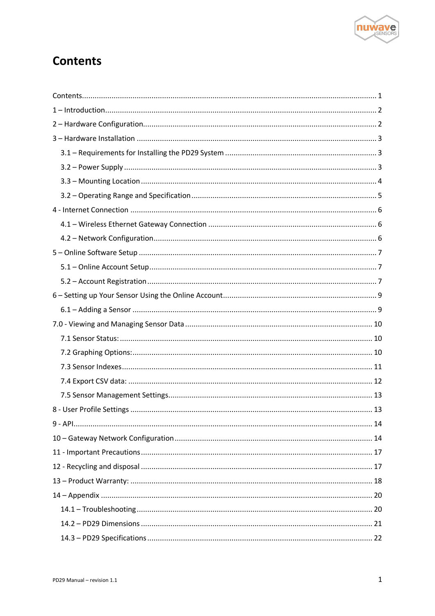

## <span id="page-1-0"></span>**Contents**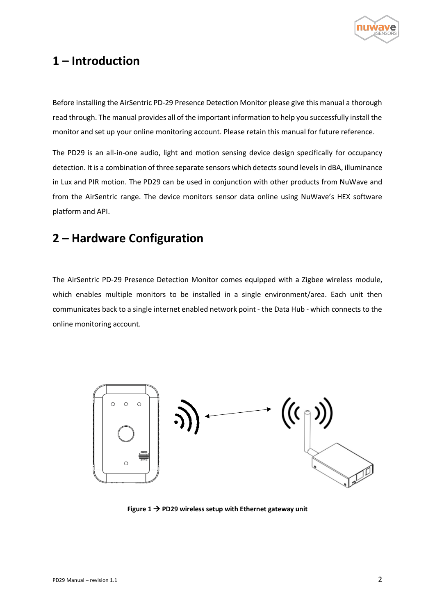

## <span id="page-2-0"></span>**1 – Introduction**

Before installing the AirSentric PD-29 Presence Detection Monitor please give this manual a thorough read through. The manual provides all of the important information to help you successfully install the monitor and set up your online monitoring account. Please retain this manual for future reference.

The PD29 is an all-in-one audio, light and motion sensing device design specifically for occupancy detection. It is a combination of three separate sensors which detects sound levels in dBA, illuminance in Lux and PIR motion. The PD29 can be used in conjunction with other products from NuWave and from the AirSentric range. The device monitors sensor data online using NuWave's HEX software platform and API.

## <span id="page-2-1"></span>**2 – Hardware Configuration**

The AirSentric PD-29 Presence Detection Monitor comes equipped with a Zigbee wireless module, which enables multiple monitors to be installed in a single environment/area. Each unit then communicates back to a single internet enabled network point - the Data Hub - which connects to the online monitoring account.



**Figure 1** → **PD29 wireless setup with Ethernet gateway unit**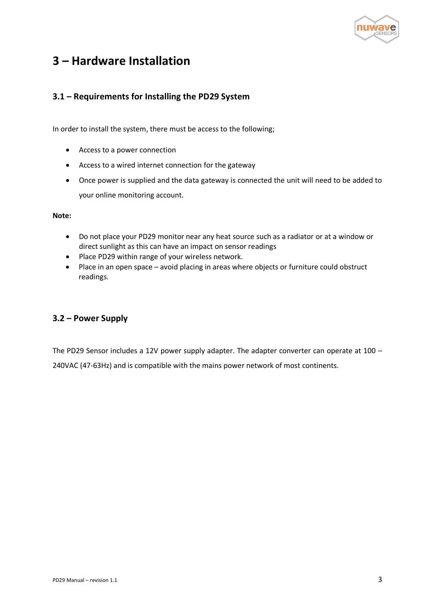

## <span id="page-3-0"></span>**3 – Hardware Installation**

### <span id="page-3-1"></span>**3.1 – Requirements for Installing the PD29 System**

In order to install the system, there must be access to the following;

- Access to a power connection
- Access to a wired internet connection for the gateway
- Once power is supplied and the data gateway is connected the unit will need to be added to your online monitoring account.

**Note:**

- Do not place your PD29 monitor near any heat source such as a radiator or at a window or direct sunlight as this can have an impact on sensor readings
- Place PD29 within range of your wireless network.
- Place in an open space avoid placing in areas where objects or furniture could obstruct readings.

#### <span id="page-3-2"></span>**3.2 – Power Supply**

The PD29 Sensor includes a 12V power supply adapter. The adapter converter can operate at 100 – 240VAC (47-63Hz) and is compatible with the mains power network of most continents.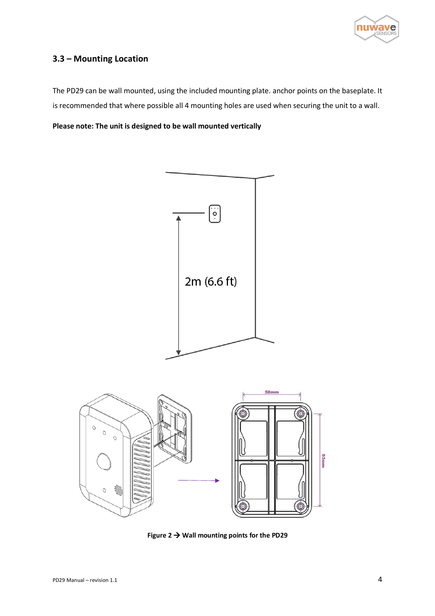

### <span id="page-4-0"></span>**3.3 – Mounting Location**

The PD29 can be wall mounted, using the included mounting plate. anchor points on the baseplate. It is recommended that where possible all 4 mounting holes are used when securing the unit to a wall.

**Please note: The unit is designed to be wall mounted vertically** 





**Figure 2** → **Wall mounting points for the PD29**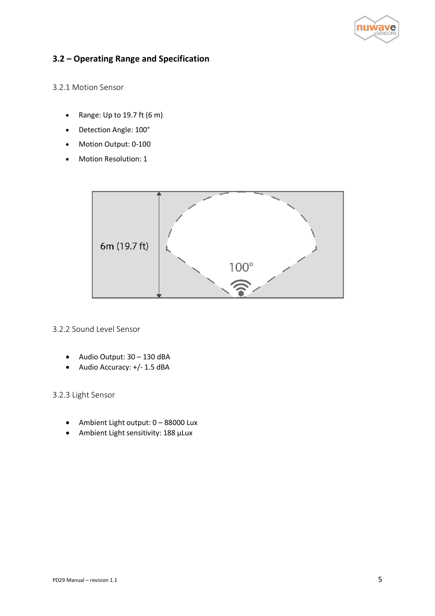

### <span id="page-5-0"></span>**3.2 – Operating Range and Specification**

3.2.1 Motion Sensor

- Range: Up to 19.7 ft (6 m)
- Detection Angle: 100°
- Motion Output: 0-100
- Motion Resolution: 1



#### 3.2.2 Sound Level Sensor

- Audio Output: 30 130 dBA
- Audio Accuracy: +/- 1.5 dBA

3.2.3 Light Sensor

- Ambient Light output: 0 88000 Lux
- Ambient Light sensitivity: 188 μLux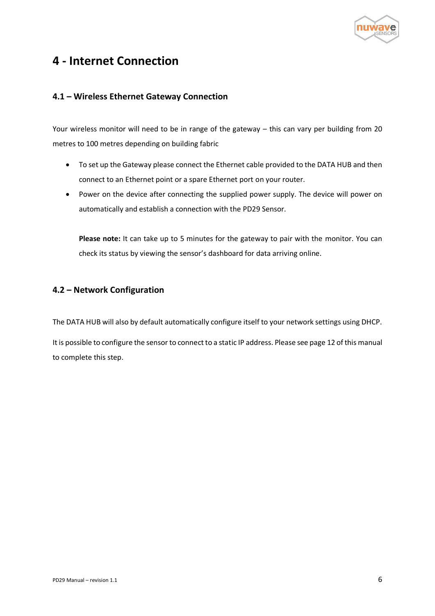

## <span id="page-6-0"></span>**4 - Internet Connection**

### <span id="page-6-1"></span>**4.1 – Wireless Ethernet Gateway Connection**

Your wireless monitor will need to be in range of the gateway – this can vary per building from 20 metres to 100 metres depending on building fabric

- To set up the Gateway please connect the Ethernet cable provided to the DATA HUB and then connect to an Ethernet point or a spare Ethernet port on your router.
- Power on the device after connecting the supplied power supply. The device will power on automatically and establish a connection with the PD29 Sensor.

**Please note:** It can take up to 5 minutes for the gateway to pair with the monitor. You can check its status by viewing the sensor's dashboard for data arriving online.

### <span id="page-6-2"></span>**4.2 – Network Configuration**

The DATA HUB will also by default automatically configure itself to your network settings using DHCP.

It is possible to configure the sensor to connect to a static IP address. Please see page 12 of this manual to complete this step.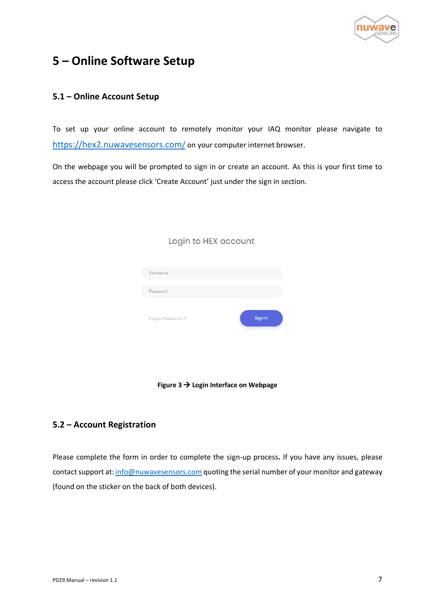

## <span id="page-7-0"></span>**5 – Online Software Setup**

### <span id="page-7-1"></span>**5.1 – Online Account Setup**

To set up your online account to remotely monitor your IAQ monitor please navigate to [https://hex2.nuwavesensors.com](https://hex2.nuwavesensors.com/)[/](https://hex2.nuwavesensors.com/) on your computer internet browser.

On the webpage you will be prompted to sign in or create an account. As this is your first time to access the account please click 'Create Account' just under the sign in section.

| Username         |         |
|------------------|---------|
| Password         |         |
| Forgot Password? | Sign In |

### Login to HEX account



### <span id="page-7-2"></span>**5.2 – Account Registration**

Please complete the form in order to complete the sign-up process**.** If you have any issues, please contact support at[: info@nuwavesensors.com](mailto:info@nuwavesensors.com) quoting the serial number of your monitor and gateway (found on the sticker on the back of both devices).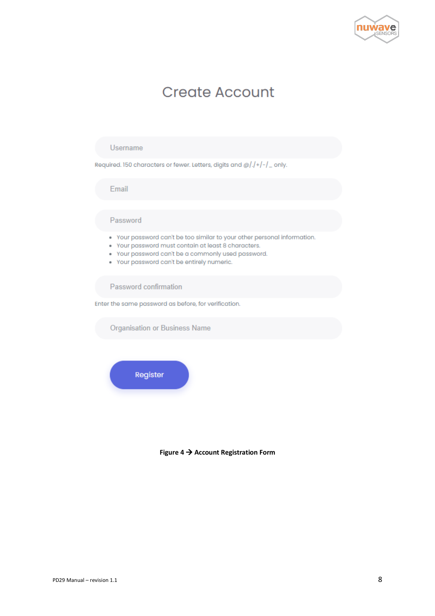

# **Create Account**

#### Username

Required. 150 characters or fewer. Letters, digits and @/./+/-/\_only.

Email

#### Password

- . Your password can't be too similar to your other personal information.
- . Your password must contain at least 8 characters.
- . Your password can't be a commonly used password.
- . Your password can't be entirely numeric.

Password confirmation

Enter the same password as before, for verification.

**Organisation or Business Name** 



**Figure 4** → **Account Registration Form**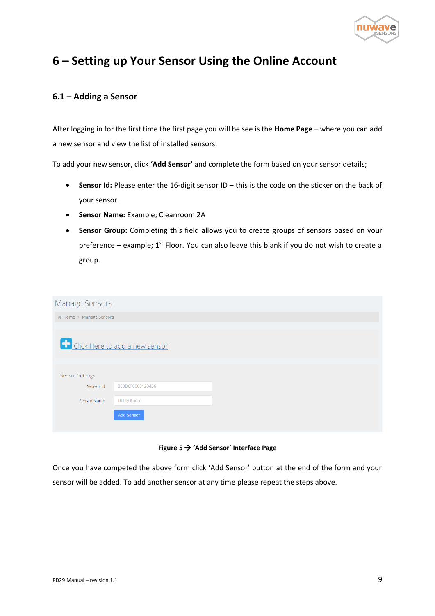

## <span id="page-9-0"></span>**6 – Setting up Your Sensor Using the Online Account**

#### <span id="page-9-1"></span>**6.1 – Adding a Sensor**

After logging in for the first time the first page you will be see is the **Home Page** – where you can add a new sensor and view the list of installed sensors.

To add your new sensor, click **'Add Sensor'** and complete the form based on your sensor details;

- **Sensor Id:** Please enter the 16-digit sensor ID this is the code on the sticker on the back of your sensor.
- **Sensor Name:** Example; Cleanroom 2A
- **Sensor Group:** Completing this field allows you to create groups of sensors based on your preference – example;  $1^{st}$  Floor. You can also leave this blank if you do not wish to create a group.

| <b>Manage Sensors</b>   |                                |  |
|-------------------------|--------------------------------|--|
| # Home > Manage Sensors |                                |  |
|                         |                                |  |
|                         | Click Here to add a new sensor |  |
|                         |                                |  |
| <b>Sensor Settings</b>  |                                |  |
| Sensor Id               | 000D6F0000123456               |  |
| Sensor Name             | <b>Utility Room</b>            |  |
|                         | <b>Add Sensor</b>              |  |
|                         |                                |  |

**Figure 5** → **'Add Sensor' Interface Page**

Once you have competed the above form click 'Add Sensor' button at the end of the form and your sensor will be added. To add another sensor at any time please repeat the steps above.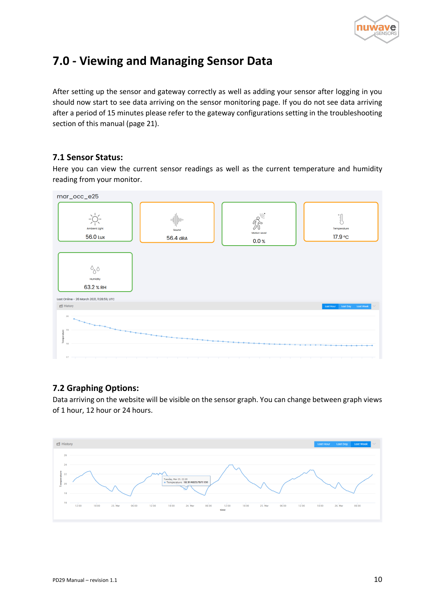

## <span id="page-10-0"></span>**7.0 - Viewing and Managing Sensor Data**

After setting up the sensor and gateway correctly as well as adding your sensor after logging in you should now start to see data arriving on the sensor monitoring page. If you do not see data arriving after a period of 15 minutes please refer to the gateway configurations setting in the troubleshooting section of this manual (page 21).

#### <span id="page-10-1"></span>**7.1 Sensor Status:**

Here you can view the current sensor readings as well as the current temperature and humidity reading from your monitor.



### <span id="page-10-2"></span>**7.2 Graphing Options:**

Data arriving on the website will be visible on the sensor graph. You can change between graph views of 1 hour, 12 hour or 24 hours.

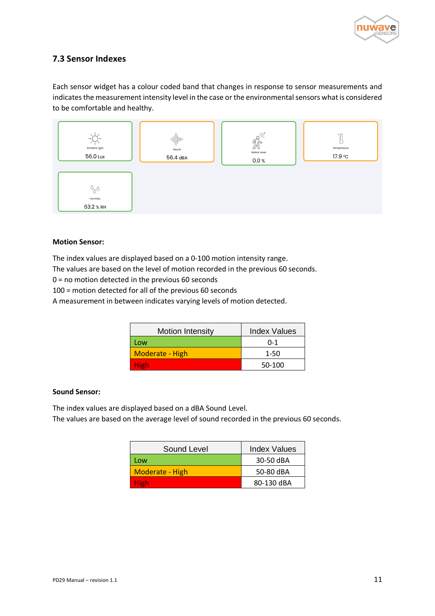

### <span id="page-11-0"></span>**7.3 Sensor Indexes**

Each sensor widget has a colour coded band that changes in response to sensor measurements and indicates the measurement intensity level in the case or the environmental sensors what is considered to be comfortable and healthy.



#### **Motion Sensor:**

The index values are displayed based on a 0-100 motion intensity range.

The values are based on the level of motion recorded in the previous 60 seconds.

0 = no motion detected in the previous 60 seconds

100 = motion detected for all of the previous 60 seconds

A measurement in between indicates varying levels of motion detected.

| <b>Motion Intensity</b> | <b>Index Values</b> |
|-------------------------|---------------------|
| Low                     | $0 - 1$             |
| Moderate - High         | $1 - 50$            |
| <b>High</b>             | 50-100              |

#### **Sound Sensor:**

The index values are displayed based on a dBA Sound Level.

The values are based on the average level of sound recorded in the previous 60 seconds.

| Sound Level     | <b>Index Values</b> |
|-----------------|---------------------|
| Low             | 30-50 dBA           |
| Moderate - High | 50-80 dBA           |
| High            | 80-130 dBA          |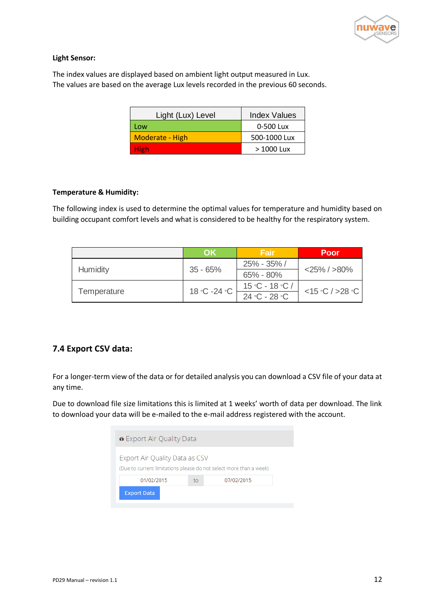

#### **Light Sensor:**

The index values are displayed based on ambient light output measured in Lux. The values are based on the average Lux levels recorded in the previous 60 seconds.

| Light (Lux) Level | <b>Index Values</b> |
|-------------------|---------------------|
| Low               | 0-500 Lux           |
| Moderate - High   | 500-1000 Lux        |
| High              | $>1000$ Lux         |

#### **Temperature & Humidity:**

The following index is used to determine the optimal values for temperature and humidity based on building occupant comfort levels and what is considered to be healthy for the respiratory system.

|             | OK              | Fair             | Poor              |  |
|-------------|-----------------|------------------|-------------------|--|
|             | 35 - 65%        | 25% - 35% /      | $<$ 25% / $>$ 80% |  |
| Humidity    |                 | $65\% - 80\%$    |                   |  |
|             | $18 °C - 24 °C$ | $15 °C - 18 °C/$ | <15°C/>28°C       |  |
| Temperature |                 | $24 °C - 28 °C$  |                   |  |

### <span id="page-12-0"></span>**7.4 Export CSV data:**

For a longer-term view of the data or for detailed analysis you can download a CSV file of your data at any time.

Due to download file size limitations this is limited at 1 weeks' worth of data per download. The link to download your data will be e-mailed to the e-mail address registered with the account.

| * Export Air Quality Data                                                                            |    |            |  |
|------------------------------------------------------------------------------------------------------|----|------------|--|
| Export Air Quality Data as CSV<br>(Due to current limitations please do not select more than a week) |    |            |  |
| 01/02/2015                                                                                           | to | 07/02/2015 |  |
| <b>Export Data</b>                                                                                   |    |            |  |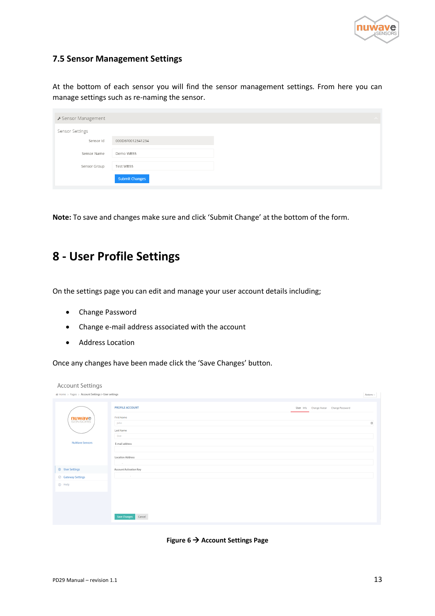

### <span id="page-13-0"></span>**7.5 Sensor Management Settings**

At the bottom of each sensor you will find the sensor management settings. From here you can manage settings such as re-naming the sensor.

| ▶ Sensor Management |                       |  |
|---------------------|-----------------------|--|
| Sensor Settings     |                       |  |
| Sensor Id           | 000D6F0012341234      |  |
| Sensor Name         | Demo WB55             |  |
| Sensor Group        | Test WB55             |  |
|                     | <b>Submit Changes</b> |  |

**Note:** To save and changes make sure and click 'Submit Change' at the bottom of the form.

## <span id="page-13-1"></span>**8 - User Profile Settings**

On the settings page you can edit and manage your user account details including;

- Change Password
- Change e-mail address associated with the account
- Address Location

Once any changes have been made click the 'Save Changes' button.

| # Home > Pages > Account Settings > User settings<br>Actions $\smallsmile$<br><b>PROFILE ACCOUNT</b><br>User Info Change Avatar Change Password<br>First Name<br><b>nuwave</b><br>SENSORS<br>$\begin{tabular}{ c c } \hline 1 \\ \hline \end{tabular}$<br>John<br><b>Last Name</b><br>Doe<br><b>NuWave Sensors</b><br>E-mail address<br><b>Location Address</b><br>$\sim$ 100 $\mu$ m $^{-1}$<br><sup>®</sup> User Settings<br>Account Activation Key<br><b>Contractor</b><br>◎ Gateway Settings<br><b>G</b> Help | <b>Account Settings</b> |  |
|-------------------------------------------------------------------------------------------------------------------------------------------------------------------------------------------------------------------------------------------------------------------------------------------------------------------------------------------------------------------------------------------------------------------------------------------------------------------------------------------------------------------|-------------------------|--|
|                                                                                                                                                                                                                                                                                                                                                                                                                                                                                                                   |                         |  |
|                                                                                                                                                                                                                                                                                                                                                                                                                                                                                                                   |                         |  |
|                                                                                                                                                                                                                                                                                                                                                                                                                                                                                                                   |                         |  |
| Save Changes<br>Cancel                                                                                                                                                                                                                                                                                                                                                                                                                                                                                            |                         |  |

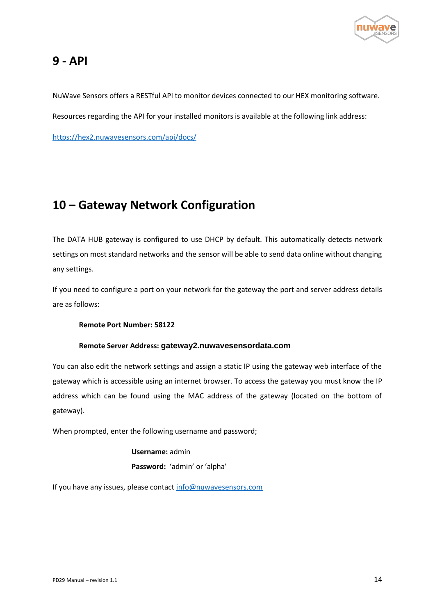

## <span id="page-14-0"></span>**9 - API**

NuWave Sensors offers a RESTful API to monitor devices connected to our HEX monitoring software.

Resources regarding the API for your installed monitors is available at the following link address:

https://hex2.nuwavesensors.com/api/docs/

# <span id="page-14-1"></span>**10 – Gateway Network Configuration**

The DATA HUB gateway is configured to use DHCP by default. This automatically detects network settings on most standard networks and the sensor will be able to send data online without changing any settings.

If you need to configure a port on your network for the gateway the port and server address details are as follows:

**Remote Port Number: 58122**

#### **Remote Server Address: gateway2.nuwavesensordata.com**

You can also edit the network settings and assign a static IP using the gateway web interface of the gateway which is accessible using an internet browser. To access the gateway you must know the IP address which can be found using the MAC address of the gateway (located on the bottom of gateway).

When prompted, enter the following username and password;

**Username:** admin **Password:** 'admin' or 'alpha'

If you have any issues, please contact [info@nuwavesensors.com](mailto:info@nuwavesensors.com)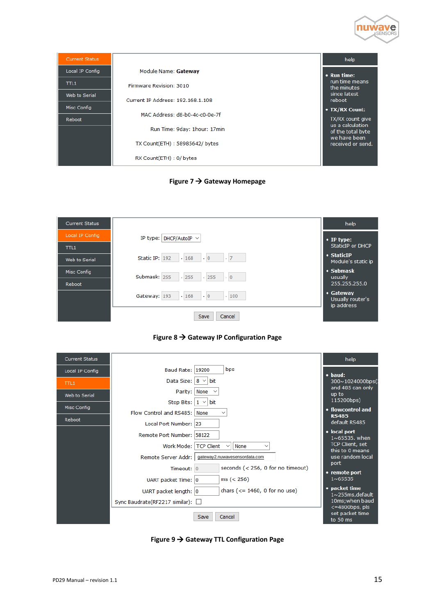

| <b>Current Status</b> |                                   | help                                                      |
|-----------------------|-----------------------------------|-----------------------------------------------------------|
| Local IP Config       | Module Name: Gateway              | • Run time:                                               |
| TH1                   | Firmware Revision: 3010           | run time means<br>the minutes                             |
| Web to Serial         | Current IP Address: 192.168.1.108 | since latest<br>reboot                                    |
| Misc Config           | MAC Address: d8-b0-4c-c0-0e-7f    | • TX/RX Count:                                            |
| Reboot                | Run Time: 9day: 1hour: 17min      | TX/RX count give<br>us a calculation<br>of the total byte |
|                       | TX Count(ETH): 58985642/ bytes    | we have been<br>received or send.                         |
|                       | RX Count(ETH): 0/ bytes           |                                                           |

**Figure 7 → Gateway Homepage** 

| <b>Current Status</b> |                                                  | help                                        |
|-----------------------|--------------------------------------------------|---------------------------------------------|
| Local IP Config       | IP type:   DHCP/AutoIP $\vee$                    | $\bullet$ IP type:                          |
| TTL1                  |                                                  | StaticIP or DHCP                            |
| Web to Serial         | Static IP: 192<br>$\cdot$ 7<br>.168<br>$\cdot$ 0 | • StaticIP<br>Module's static ip            |
| Misc Config           | Submask: 255<br>.255<br>.255<br>$\cdot 0$        | $\cdot$ Submask<br>usually                  |
| Reboot                |                                                  | 255.255.255.0                               |
|                       | .168<br>.100<br>$\cdot 0$<br>Gateway: 193        | • Gateway<br>Usually router's<br>ip address |
|                       | Cancel<br>Save                                   |                                             |



| <b>Current Status</b> |                                  |                                                          | help                                      |
|-----------------------|----------------------------------|----------------------------------------------------------|-------------------------------------------|
| Local IP Config       | Baud Rate: 19200                 | bps                                                      | $\bullet$ baud:                           |
| TTL1                  | Data Size: $ 8 \vee $ bit        |                                                          | 300~1024000bps(<br>and 485 can only       |
| Web to Serial         | Parity:                          | None $\sim$                                              | up to                                     |
|                       | <b>Stop Bits:</b>                | $1 \vee$ bit                                             | 115200bps)                                |
| Misc Config           | Flow Control and RS485:          | None                                                     | • flowcontrol and<br><b>RS485</b>         |
| Reboot                | Local Port Number: 23            |                                                          | default RS485                             |
|                       | Remote Port Number: 58122        |                                                          | • local port<br>$1 \sim 65535$ . when     |
|                       | Work Mode:                       | <b>TCP Client</b><br>None<br>$\checkmark$<br>$\check{ }$ | <b>TCP Client, set</b><br>this to 0 means |
|                       | Remote Server Addr:              | gateway2.nuwavesensordata.com                            | use random local<br>port                  |
|                       | Timeout: 0                       | seconds (< 256, 0 for no timeout)                        | • remote port                             |
|                       | UART packet Time: 0              | ms (< 256)                                               | 1~65535                                   |
|                       | UART packet length: 0            | chars $(<= 1460, 0$ for no use)                          | • packet time<br>$1 \sim 255$ ms, default |
|                       | Sync Baudrate(RF2217 similar): □ |                                                          | 10ms; when baud<br>$<=4800bps$ , pls      |
|                       |                                  | Save<br>Cancel                                           | set packet time<br>to 50 ms               |

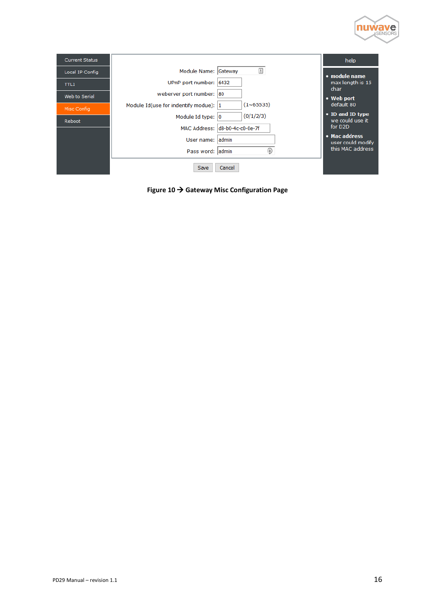

| <b>Current Status</b> |                                        |                                                                 | help                                |
|-----------------------|----------------------------------------|-----------------------------------------------------------------|-------------------------------------|
| Local IP Config       | Module Name: Gateway                   | $\begin{array}{c} \begin{array}{c} \pm \end{array} \end{array}$ | • module name                       |
| TTL1                  | UPnP port number: 6432                 |                                                                 | max length is 15<br>char            |
| Web to Serial         | weberver port number: 80               |                                                                 | • Web port                          |
| Misc Config           | Module Id(use for indentify modue):  1 | (1~65535)                                                       | default 80                          |
| Reboot                | Module Id type: 0                      | (0/1/2/3)                                                       | • ID and ID type<br>we could use it |
|                       |                                        | MAC Address: d8-b0-4c-c0-0e-7f                                  | for D <sub>2D</sub>                 |
|                       | User name: ladmin                      |                                                                 | • Mac address<br>user could modify  |
|                       | Pass word: admin                       | a                                                               | this MAC address                    |
|                       | Save                                   | Cancel                                                          |                                     |

**Figure 10** → **Gateway Misc Configuration Page**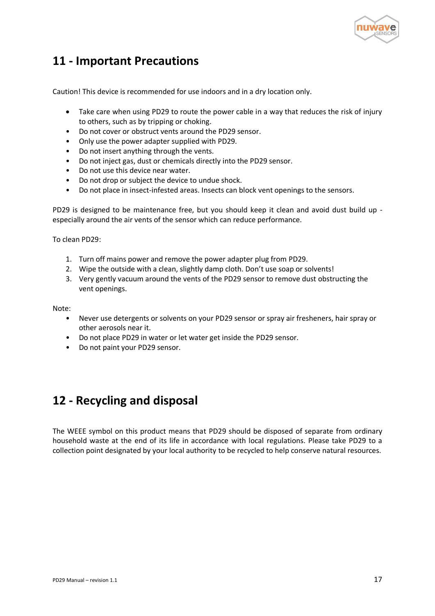

## <span id="page-17-0"></span>**11 - Important Precautions**

Caution! This device is recommended for use indoors and in a dry location only.

- Take care when using PD29 to route the power cable in a way that reduces the risk of injury to others, such as by tripping or choking.
- Do not cover or obstruct vents around the PD29 sensor.
- Only use the power adapter supplied with PD29.
- Do not insert anything through the vents.
- Do not inject gas, dust or chemicals directly into the PD29 sensor.
- Do not use this device near water.
- Do not drop or subject the device to undue shock.
- Do not place in insect-infested areas. Insects can block vent openings to the sensors.

PD29 is designed to be maintenance free, but you should keep it clean and avoid dust build up especially around the air vents of the sensor which can reduce performance.

To clean PD29:

- 1. Turn off mains power and remove the power adapter plug from PD29.
- 2. Wipe the outside with a clean, slightly damp cloth. Don't use soap or solvents!
- 3. Very gently vacuum around the vents of the PD29 sensor to remove dust obstructing the vent openings.

Note:

- Never use detergents or solvents on your PD29 sensor or spray air fresheners, hair spray or other aerosols near it.
- Do not place PD29 in water or let water get inside the PD29 sensor.
- Do not paint your PD29 sensor.

## <span id="page-17-1"></span>**12 - Recycling and disposal**

The WEEE symbol on this product means that PD29 should be disposed of separate from ordinary household waste at the end of its life in accordance with local regulations. Please take PD29 to a collection point designated by your local authority to be recycled to help conserve natural resources.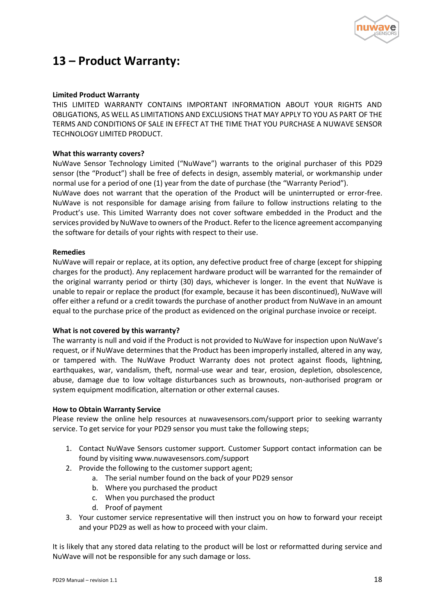

## <span id="page-18-0"></span>**13 – Product Warranty:**

#### **Limited Product Warranty**

THIS LIMITED WARRANTY CONTAINS IMPORTANT INFORMATION ABOUT YOUR RIGHTS AND OBLIGATIONS, AS WELL AS LIMITATIONS AND EXCLUSIONS THAT MAY APPLY TO YOU AS PART OF THE TERMS AND CONDITIONS OF SALE IN EFFECT AT THE TIME THAT YOU PURCHASE A NUWAVE SENSOR TECHNOLOGY LIMITED PRODUCT.

#### **What this warranty covers?**

NuWave Sensor Technology Limited ("NuWave") warrants to the original purchaser of this PD29 sensor (the "Product") shall be free of defects in design, assembly material, or workmanship under normal use for a period of one (1) year from the date of purchase (the "Warranty Period").

NuWave does not warrant that the operation of the Product will be uninterrupted or error-free. NuWave is not responsible for damage arising from failure to follow instructions relating to the Product's use. This Limited Warranty does not cover software embedded in the Product and the services provided by NuWave to owners of the Product. Refer to the licence agreement accompanying the software for details of your rights with respect to their use.

#### **Remedies**

NuWave will repair or replace, at its option, any defective product free of charge (except for shipping charges for the product). Any replacement hardware product will be warranted for the remainder of the original warranty period or thirty (30) days, whichever is longer. In the event that NuWave is unable to repair or replace the product (for example, because it has been discontinued), NuWave will offer either a refund or a credit towards the purchase of another product from NuWave in an amount equal to the purchase price of the product as evidenced on the original purchase invoice or receipt.

#### **What is not covered by this warranty?**

The warranty is null and void if the Product is not provided to NuWave for inspection upon NuWave's request, or if NuWave determines that the Product has been improperly installed, altered in any way, or tampered with. The NuWave Product Warranty does not protect against floods, lightning, earthquakes, war, vandalism, theft, normal-use wear and tear, erosion, depletion, obsolescence, abuse, damage due to low voltage disturbances such as brownouts, non-authorised program or system equipment modification, alternation or other external causes.

#### **How to Obtain Warranty Service**

Please review the online help resources at nuwavesensors.com/support prior to seeking warranty service. To get service for your PD29 sensor you must take the following steps;

- 1. Contact NuWave Sensors customer support. Customer Support contact information can be found by visiting www.nuwavesensors.com/support
- 2. Provide the following to the customer support agent;
	- a. The serial number found on the back of your PD29 sensor
	- b. Where you purchased the product
	- c. When you purchased the product
	- d. Proof of payment
- 3. Your customer service representative will then instruct you on how to forward your receipt and your PD29 as well as how to proceed with your claim.

It is likely that any stored data relating to the product will be lost or reformatted during service and NuWave will not be responsible for any such damage or loss.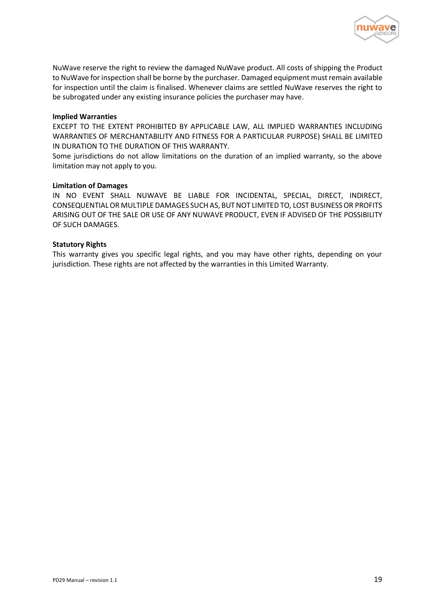

NuWave reserve the right to review the damaged NuWave product. All costs of shipping the Product to NuWave for inspection shall be borne by the purchaser. Damaged equipment must remain available for inspection until the claim is finalised. Whenever claims are settled NuWave reserves the right to be subrogated under any existing insurance policies the purchaser may have.

#### **Implied Warranties**

EXCEPT TO THE EXTENT PROHIBITED BY APPLICABLE LAW, ALL IMPLIED WARRANTIES INCLUDING WARRANTIES OF MERCHANTABILITY AND FITNESS FOR A PARTICULAR PURPOSE) SHALL BE LIMITED IN DURATION TO THE DURATION OF THIS WARRANTY.

Some jurisdictions do not allow limitations on the duration of an implied warranty, so the above limitation may not apply to you.

#### **Limitation of Damages**

IN NO EVENT SHALL NUWAVE BE LIABLE FOR INCIDENTAL, SPECIAL, DIRECT, INDIRECT, CONSEQUENTIAL OR MULTIPLE DAMAGES SUCH AS, BUT NOT LIMITED TO, LOST BUSINESS OR PROFITS ARISING OUT OF THE SALE OR USE OF ANY NUWAVE PRODUCT, EVEN IF ADVISED OF THE POSSIBILITY OF SUCH DAMAGES.

#### **Statutory Rights**

This warranty gives you specific legal rights, and you may have other rights, depending on your jurisdiction. These rights are not affected by the warranties in this Limited Warranty.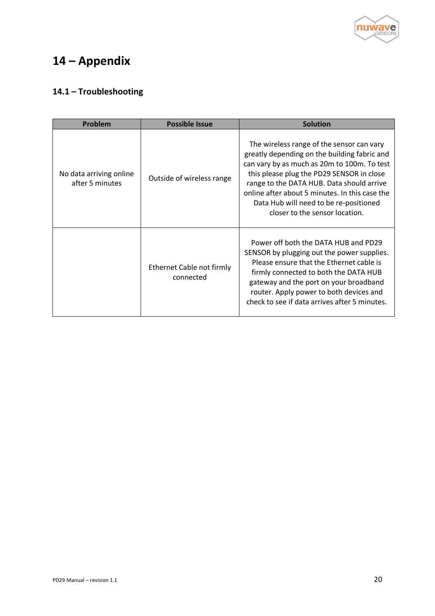

# <span id="page-20-0"></span>**14 – Appendix**

### <span id="page-20-1"></span>**14.1 – Troubleshooting**

| Problem                                    | <b>Possible Issue</b>                  | <b>Solution</b>                                                                                                                                                                                                                                                                                                                                                  |
|--------------------------------------------|----------------------------------------|------------------------------------------------------------------------------------------------------------------------------------------------------------------------------------------------------------------------------------------------------------------------------------------------------------------------------------------------------------------|
| No data arriving online<br>after 5 minutes | Outside of wireless range              | The wireless range of the sensor can vary<br>greatly depending on the building fabric and<br>can vary by as much as 20m to 100m. To test<br>this please plug the PD29 SENSOR in close<br>range to the DATA HUB. Data should arrive<br>online after about 5 minutes. In this case the<br>Data Hub will need to be re-positioned<br>closer to the sensor location. |
|                                            | Ethernet Cable not firmly<br>connected | Power off both the DATA HUB and PD29<br>SENSOR by plugging out the power supplies.<br>Please ensure that the Ethernet cable is<br>firmly connected to both the DATA HUB<br>gateway and the port on your broadband<br>router. Apply power to both devices and<br>check to see if data arrives after 5 minutes.                                                    |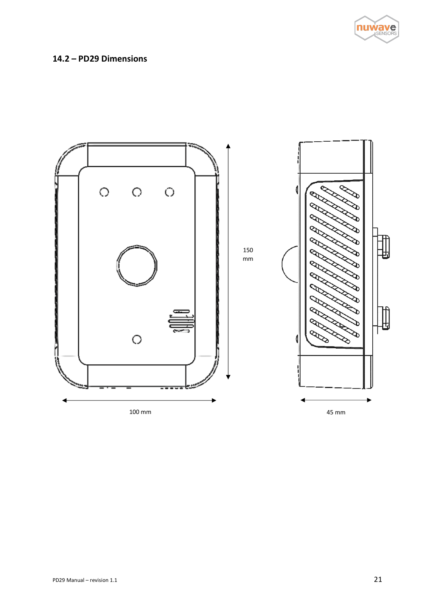

### <span id="page-21-0"></span>**14.2 – PD29 Dimensions**